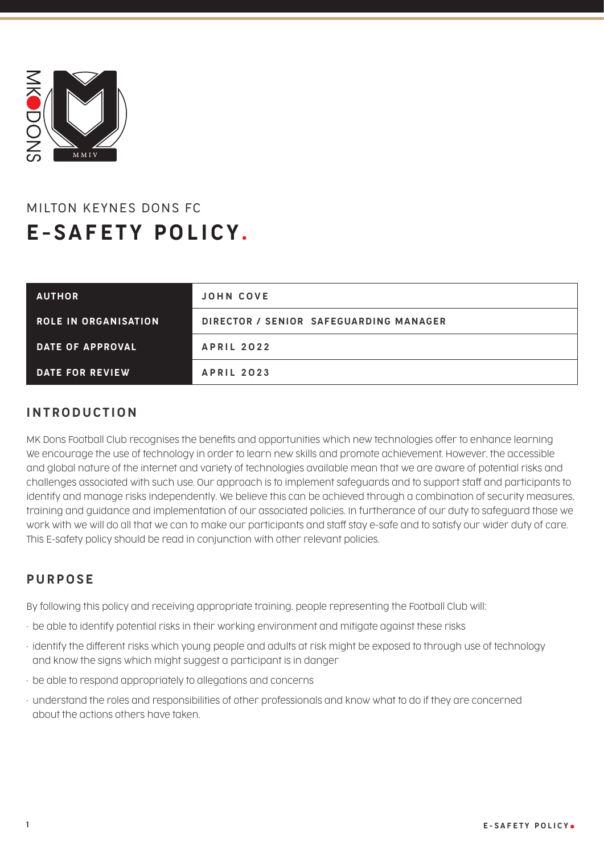

# MILTON KEYNES DONS FC E-SAFETY POLICY .

| <b>AUTHOR</b>               | JOHN COVE                              |
|-----------------------------|----------------------------------------|
| <b>ROLE IN ORGANISATION</b> | DIRECTOR / SENIOR SAFEGUARDING MANAGER |
| DATE OF APPROVAL            | <b>APRIL 2022</b>                      |
| DATE FOR REVIEW             | <b>APRIL 2023</b>                      |

### INTRODUCTION

MK Dons Football Club recognises the benefits and opportunities which new technologies offer to enhance learning We encourage the use of technology in order to learn new skills and promote achievement. However, the accessible and global nature of the internet and variety of technologies available mean that we are aware of potential risks and challenges associated with such use. Our approach is to implement safeguards and to support staff and participants to identify and manage risks independently. We believe this can be achieved through a combination of security measures, training and guidance and implementation of our associated policies. In furtherance of our duty to safeguard those we work with we will do all that we can to make our participants and staff stay e-safe and to satisfy our wider duty of care. This E-safety policy should be read in conjunction with other relevant policies.

## PURPOSE

By following this policy and receiving appropriate training, people representing the Football Club will:

- be able to identify potential risks in their working environment and mitigate against these risks
- identify the different risks which young people and adults at risk might be exposed to through use of technology and know the signs which might suggest a participant is in danger
- be able to respond appropriately to allegations and concerns
- understand the roles and responsibilities of other professionals and know what to do if they are concerned about the actions others have taken.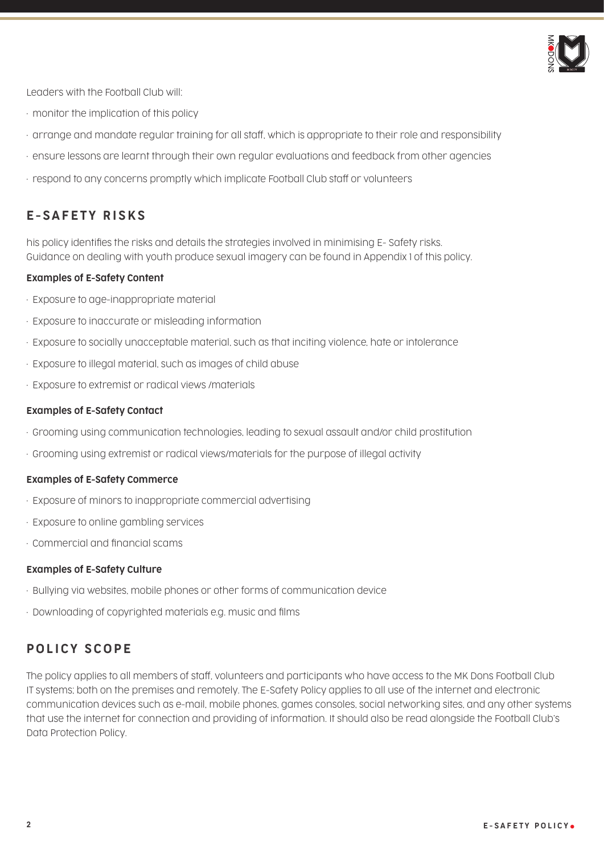

Leaders with the Football Club will:

- monitor the implication of this policy
- arrange and mandate regular training for all staff, which is appropriate to their role and responsibility
- ensure lessons are learnt through their own regular evaluations and feedback from other agencies
- respond to any concerns promptly which implicate Football Club staff or volunteers

# E-SAFETY RISKS

his policy identifies the risks and details the strategies involved in minimising E- Safety risks. Guidance on dealing with youth produce sexual imagery can be found in Appendix 1 of this policy.

#### Examples of E-Safety Content

- Exposure to age-inappropriate material
- Exposure to inaccurate or misleading information
- Exposure to socially unacceptable material, such as that inciting violence, hate or intolerance
- Exposure to illegal material, such as images of child abuse
- Exposure to extremist or radical views /materials

#### Examples of E-Safety Contact

- Grooming using communication technologies, leading to sexual assault and/or child prostitution
- Grooming using extremist or radical views/materials for the purpose of illegal activity

#### Examples of E-Safety Commerce

- Exposure of minors to inappropriate commercial advertising
- Exposure to online gambling services
- Commercial and financial scams

#### Examples of E-Safety Culture

- Bullying via websites, mobile phones or other forms of communication device
- Downloading of copyrighted materials e.g. music and films

### POLICY SCOPE

The policy applies to all members of staff, volunteers and participants who have access to the MK Dons Football Club IT systems; both on the premises and remotely. The E-Safety Policy applies to all use of the internet and electronic communication devices such as e-mail, mobile phones, games consoles, social networking sites, and any other systems that use the internet for connection and providing of information. It should also be read alongside the Football Club's Data Protection Policy.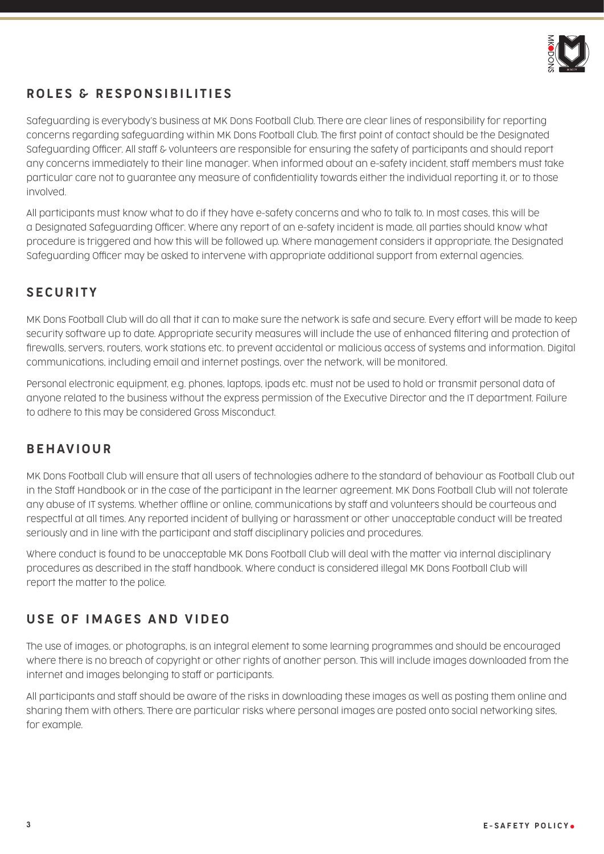

# ROLES & RESPONSIBILITIES

Safeguarding is everybody's business at MK Dons Football Club. There are clear lines of responsibility for reporting concerns regarding safeguarding within MK Dons Football Club. The first point of contact should be the Designated Safeguarding Officer. All staff & volunteers are responsible for ensuring the safety of participants and should report any concerns immediately to their line manager. When informed about an e-safety incident, staff members must take particular care not to guarantee any measure of confidentiality towards either the individual reporting it, or to those involved.

All participants must know what to do if they have e-safety concerns and who to talk to. In most cases, this will be a Designated Safeguarding Officer. Where any report of an e-safety incident is made, all parties should know what procedure is triggered and how this will be followed up. Where management considers it appropriate, the Designated Safeguarding Officer may be asked to intervene with appropriate additional support from external agencies.

## **SECURITY**

MK Dons Football Club will do all that it can to make sure the network is safe and secure. Every effort will be made to keep security software up to date. Appropriate security measures will include the use of enhanced filtering and protection of firewalls, servers, routers, work stations etc. to prevent accidental or malicious access of systems and information. Digital communications, including email and internet postings, over the network, will be monitored.

Personal electronic equipment, e.g. phones, laptops, ipads etc. must not be used to hold or transmit personal data of anyone related to the business without the express permission of the Executive Director and the IT department. Failure to adhere to this may be considered Gross Misconduct.

### BEHAVIOUR

MK Dons Football Club will ensure that all users of technologies adhere to the standard of behaviour as Football Club out in the Staff Handbook or in the case of the participant in the learner agreement. MK Dons Football Club will not tolerate any abuse of IT systems. Whether offline or online, communications by staff and volunteers should be courteous and respectful at all times. Any reported incident of bullying or harassment or other unacceptable conduct will be treated seriously and in line with the participant and staff disciplinary policies and procedures.

Where conduct is found to be unacceptable MK Dons Football Club will deal with the matter via internal disciplinary procedures as described in the staff handbook. Where conduct is considered illegal MK Dons Football Club will report the matter to the police.

### USE OF IMAGES AND VIDEO

The use of images, or photographs, is an integral element to some learning programmes and should be encouraged where there is no breach of copyright or other rights of another person. This will include images downloaded from the internet and images belonging to staff or participants.

All participants and staff should be aware of the risks in downloading these images as well as posting them online and sharing them with others. There are particular risks where personal images are posted onto social networking sites, for example.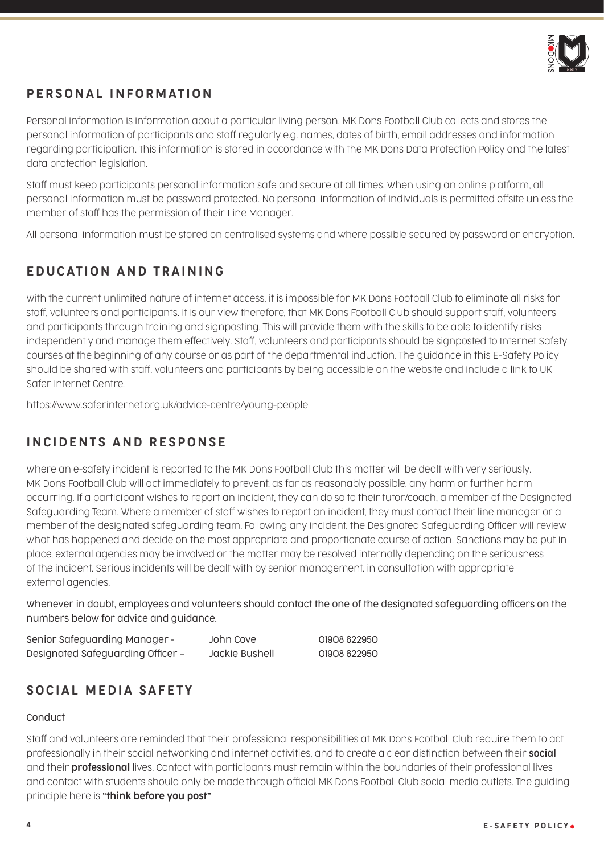

# PERSONAL INFORMATION

Personal information is information about a particular living person. MK Dons Football Club collects and stores the personal information of participants and staff regularly e.g. names, dates of birth, email addresses and information regarding participation. This information is stored in accordance with the MK Dons Data Protection Policy and the latest data protection legislation.

Staff must keep participants personal information safe and secure at all times. When using an online platform, all personal information must be password protected. No personal information of individuals is permitted offsite unless the member of staff has the permission of their Line Manager.

All personal information must be stored on centralised systems and where possible secured by password or encryption.

# EDUCATION AND TRAINING

With the current unlimited nature of internet access, it is impossible for MK Dons Football Club to eliminate all risks for staff, volunteers and participants. It is our view therefore, that MK Dons Football Club should support staff, volunteers and participants through training and signposting. This will provide them with the skills to be able to identify risks independently and manage them effectively. Staff, volunteers and participants should be signposted to Internet Safety courses at the beginning of any course or as part of the departmental induction. The guidance in this E-Safety Policy should be shared with staff, volunteers and participants by being accessible on the website and include a link to UK Safer Internet Centre.

https://www.saferinternet.org.uk/advice-centre/young-people

# INCIDENTS AND RESPONSE

Where an e-safety incident is reported to the MK Dons Football Club this matter will be dealt with very seriously. MK Dons Football Club will act immediately to prevent, as far as reasonably possible, any harm or further harm occurring. If a participant wishes to report an incident, they can do so to their tutor/coach, a member of the Designated Safeguarding Team. Where a member of staff wishes to report an incident, they must contact their line manager or a member of the designated safeguarding team. Following any incident, the Designated Safeguarding Officer will review what has happened and decide on the most appropriate and proportionate course of action. Sanctions may be put in place, external agencies may be involved or the matter may be resolved internally depending on the seriousness of the incident. Serious incidents will be dealt with by senior management, in consultation with appropriate external agencies.

Whenever in doubt, employees and volunteers should contact the one of the designated safeguarding officers on the numbers below for advice and guidance.

Senior Safeguarding Manager - John Cove 01908 622950 Designated Safeguarding Officer – Jackie Bushell 01908 622950

## SOCIAL MEDIA SAFETY

#### Conduct

Staff and volunteers are reminded that their professional responsibilities at MK Dons Football Club require them to act professionally in their social networking and internet activities, and to create a clear distinction between their social and their **professional** lives. Contact with participants must remain within the boundaries of their professional lives and contact with students should only be made through official MK Dons Football Club social media outlets. The guiding principle here is "think before you post"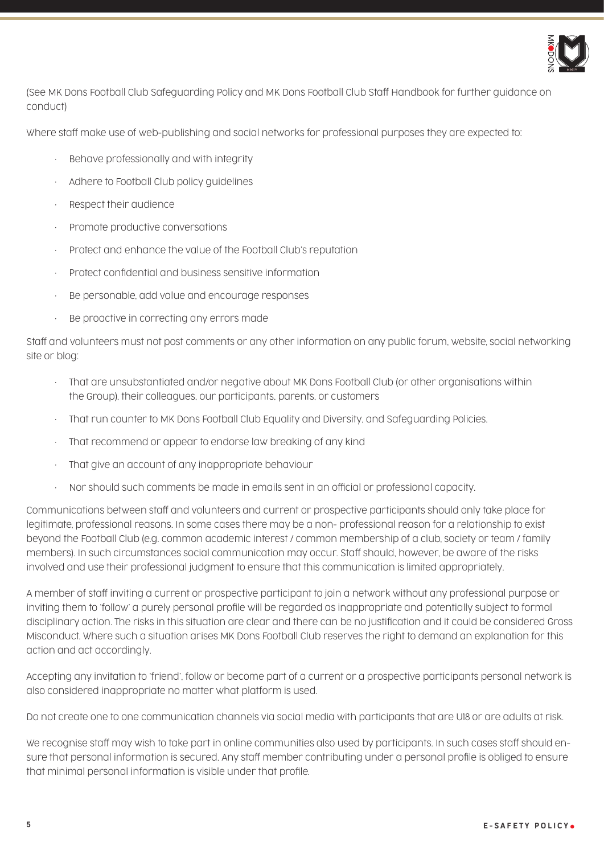

(See MK Dons Football Club Safeguarding Policy and MK Dons Football Club Staff Handbook for further guidance on conduct)

Where staff make use of web-publishing and social networks for professional purposes they are expected to:

- Behave professionally and with integrity
- Adhere to Football Club policy guidelines
- Respect their audience
- Promote productive conversations
- Protect and enhance the value of the Football Club's reputation
- Protect confidential and business sensitive information
- Be personable, add value and encourage responses
- Be proactive in correcting any errors made

Staff and volunteers must not post comments or any other information on any public forum, website, social networking site or blog:

- That are unsubstantiated and/or negative about MK Dons Football Club (or other organisations within the Group), their colleagues, our participants, parents, or customers
- That run counter to MK Dons Football Club Equality and Diversity, and Safeguarding Policies.
- That recommend or appear to endorse law breaking of any kind
- That give an account of any inappropriate behaviour
- Nor should such comments be made in emails sent in an official or professional capacity.

Communications between staff and volunteers and current or prospective participants should only take place for legitimate, professional reasons. In some cases there may be a non- professional reason for a relationship to exist beyond the Football Club (e.g. common academic interest / common membership of a club, society or team / family members). In such circumstances social communication may occur. Staff should, however, be aware of the risks involved and use their professional judgment to ensure that this communication is limited appropriately.

A member of staff inviting a current or prospective participant to join a network without any professional purpose or inviting them to 'follow' a purely personal profile will be regarded as inappropriate and potentially subject to formal disciplinary action. The risks in this situation are clear and there can be no justification and it could be considered Gross Misconduct. Where such a situation arises MK Dons Football Club reserves the right to demand an explanation for this action and act accordingly.

Accepting any invitation to 'friend', follow or become part of a current or a prospective participants personal network is also considered inappropriate no matter what platform is used.

Do not create one to one communication channels via social media with participants that are U18 or are adults at risk.

We recognise staff may wish to take part in online communities also used by participants. In such cases staff should ensure that personal information is secured. Any staff member contributing under a personal profile is obliged to ensure that minimal personal information is visible under that profile.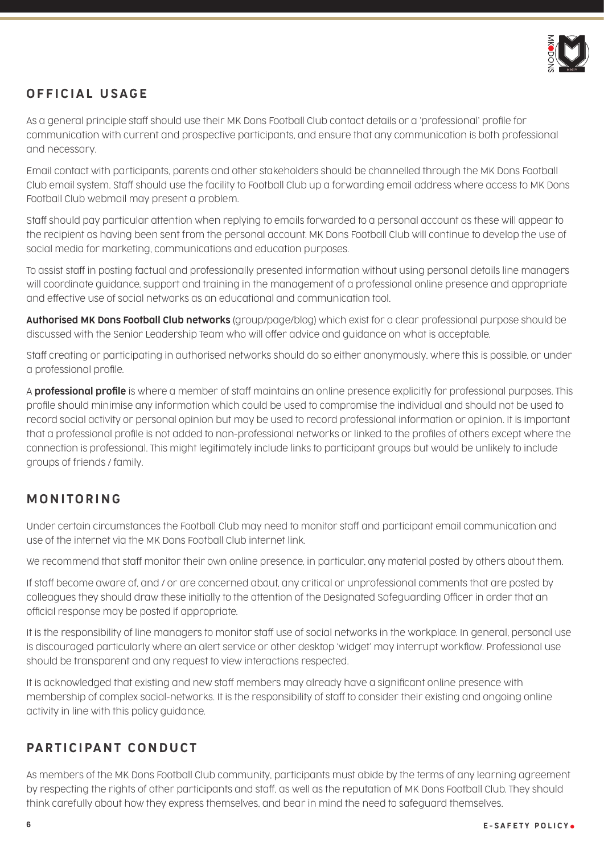

# OFFICIAL USAGE

As a general principle staff should use their MK Dons Football Club contact details or a 'professional' profile for communication with current and prospective participants, and ensure that any communication is both professional and necessary.

Email contact with participants, parents and other stakeholders should be channelled through the MK Dons Football Club email system. Staff should use the facility to Football Club up a forwarding email address where access to MK Dons Football Club webmail may present a problem.

Staff should pay particular attention when replying to emails forwarded to a personal account as these will appear to the recipient as having been sent from the personal account. MK Dons Football Club will continue to develop the use of social media for marketing, communications and education purposes.

To assist staff in posting factual and professionally presented information without using personal details line managers will coordinate guidance, support and training in the management of a professional online presence and appropriate and effective use of social networks as an educational and communication tool.

Authorised MK Dons Football Club networks (group/page/blog) which exist for a clear professional purpose should be discussed with the Senior Leadership Team who will offer advice and guidance on what is acceptable.

Staff creating or participating in authorised networks should do so either anonymously, where this is possible, or under a professional profile.

A **professional profile** is where a member of staff maintains an online presence explicitly for professional purposes. This profile should minimise any information which could be used to compromise the individual and should not be used to record social activity or personal opinion but may be used to record professional information or opinion. It is important that a professional profile is not added to non-professional networks or linked to the profiles of others except where the connection is professional. This might legitimately include links to participant groups but would be unlikely to include groups of friends / family.

## MONITORING

Under certain circumstances the Football Club may need to monitor staff and participant email communication and use of the internet via the MK Dons Football Club internet link.

We recommend that staff monitor their own online presence, in particular, any material posted by others about them.

If staff become aware of, and / or are concerned about, any critical or unprofessional comments that are posted by colleagues they should draw these initially to the attention of the Designated Safeguarding Officer in order that an official response may be posted if appropriate.

It is the responsibility of line managers to monitor staff use of social networks in the workplace. In general, personal use is discouraged particularly where an alert service or other desktop 'widget' may interrupt workflow. Professional use should be transparent and any request to view interactions respected.

It is acknowledged that existing and new staff members may already have a significant online presence with membership of complex social-networks. It is the responsibility of staff to consider their existing and ongoing online activity in line with this policy guidance.

## PARTICIPANT CONDUCT

As members of the MK Dons Football Club community, participants must abide by the terms of any learning agreement by respecting the rights of other participants and staff, as well as the reputation of MK Dons Football Club. They should think carefully about how they express themselves, and bear in mind the need to safeguard themselves.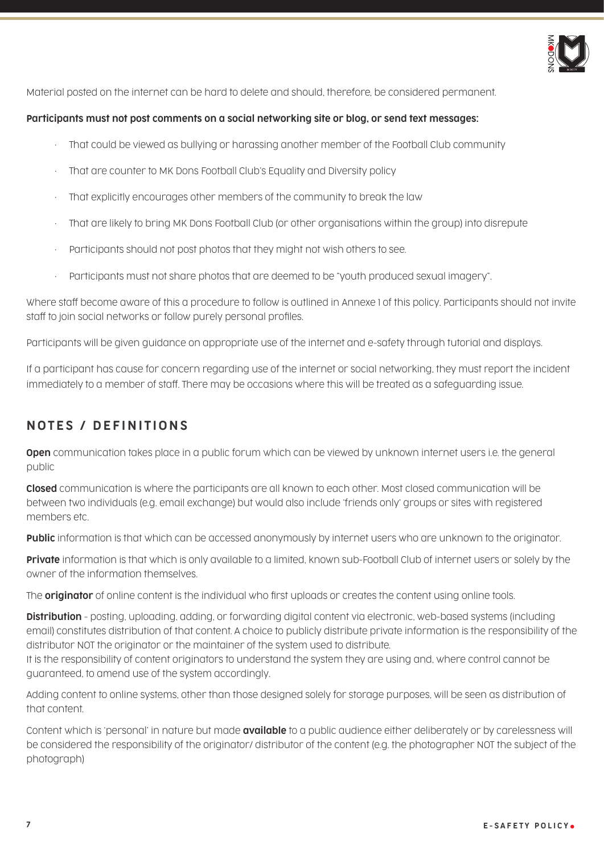

Material posted on the internet can be hard to delete and should, therefore, be considered permanent.

#### Participants must not post comments on a social networking site or blog, or send text messages:

- That could be viewed as bullying or harassing another member of the Football Club community
- That are counter to MK Dons Football Club's Equality and Diversity policy
- That explicitly encourages other members of the community to break the law
- That are likely to bring MK Dons Football Club (or other organisations within the group) into disrepute
- Participants should not post photos that they might not wish others to see.
- Participants must not share photos that are deemed to be "youth produced sexual imagery".

Where staff become aware of this a procedure to follow is outlined in Annexe 1 of this policy. Participants should not invite staff to join social networks or follow purely personal profiles.

Participants will be given guidance on appropriate use of the internet and e-safety through tutorial and displays.

If a participant has cause for concern regarding use of the internet or social networking, they must report the incident immediately to a member of staff. There may be occasions where this will be treated as a safeguarding issue.

### NOTES / DEFINITIONS

**Open** communication takes place in a public forum which can be viewed by unknown internet users i.e. the general public

Closed communication is where the participants are all known to each other. Most closed communication will be between two individuals (e.g. email exchange) but would also include 'friends only' groups or sites with registered members etc.

**Public** information is that which can be accessed anonymously by internet users who are unknown to the originator.

Private information is that which is only available to a limited, known sub-Football Club of internet users or solely by the owner of the information themselves.

The **originator** of online content is the individual who first uploads or creates the content using online tools.

**Distribution** - posting, uploading, adding, or forwarding digital content via electronic, web-based systems (including email) constitutes distribution of that content. A choice to publicly distribute private information is the responsibility of the distributor NOT the originator or the maintainer of the system used to distribute.

It is the responsibility of content originators to understand the system they are using and, where control cannot be guaranteed, to amend use of the system accordingly.

Adding content to online systems, other than those designed solely for storage purposes, will be seen as distribution of that content.

Content which is 'personal' in nature but made **available** to a public audience either deliberately or by carelessness will be considered the responsibility of the originator/ distributor of the content (e.g. the photographer NOT the subject of the photograph)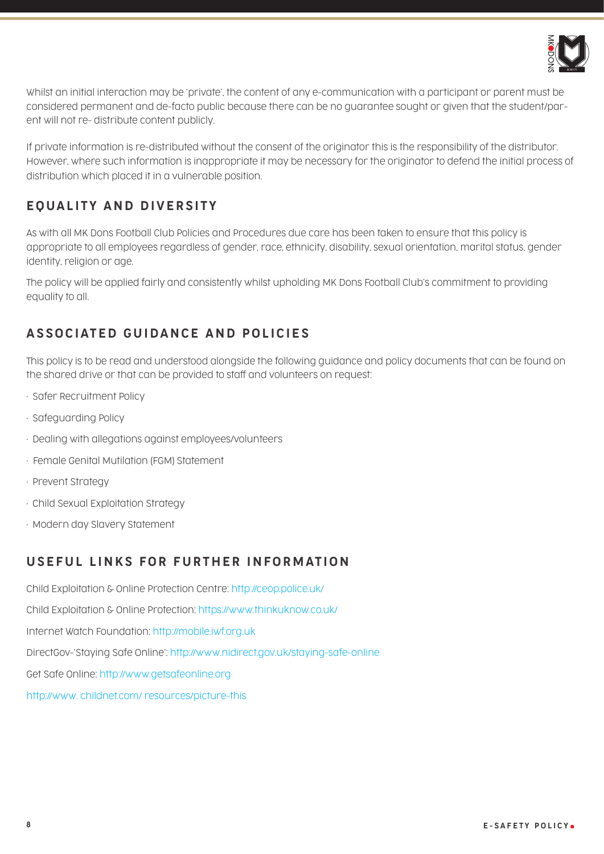

Whilst an initial interaction may be 'private', the content of any e-communication with a participant or parent must be considered permanent and de-facto public because there can be no guarantee sought or given that the student/parent will not re- distribute content publicly.

If private information is re-distributed without the consent of the originator this is the responsibility of the distributor. However, where such information is inappropriate it may be necessary for the originator to defend the initial process of distribution which placed it in a vulnerable position.

# EQUALITY AND DIVERSITY

As with all MK Dons Football Club Policies and Procedures due care has been taken to ensure that this policy is appropriate to all employees regardless of gender, race, ethnicity, disability, sexual orientation, marital status, gender identity, religion or age.

The policy will be applied fairly and consistently whilst upholding MK Dons Football Club's commitment to providing equality to all.

### ASSOCIATED GUIDANCE AND POLICIES

This policy is to be read and understood alongside the following guidance and policy documents that can be found on the shared drive or that can be provided to staff and volunteers on request:

- Safer Recruitment Policy
- Safeguarding Policy
- Dealing with allegations against employees/volunteers
- Female Genital Mutilation (FGM) Statement
- Prevent Strategy
- Child Sexual Exploitation Strategy
- Modern day Slavery Statement

### USEFUL LINKS FOR FURTHER INFORMATION

Child Exploitation & Online Protection Centre: http://ceop.police.uk/ Child Exploitation & Online Protection: https://www.thinkuknow.co.uk/ Internet Watch Foundation: http://mobile.iwf.org.uk DirectGov-'Staying Safe Online': http://www.nidirect.gov.uk/staying-safe-online Get Safe Online: http://www.getsafeonline.org http://www. childnet.com/ resources/picture-this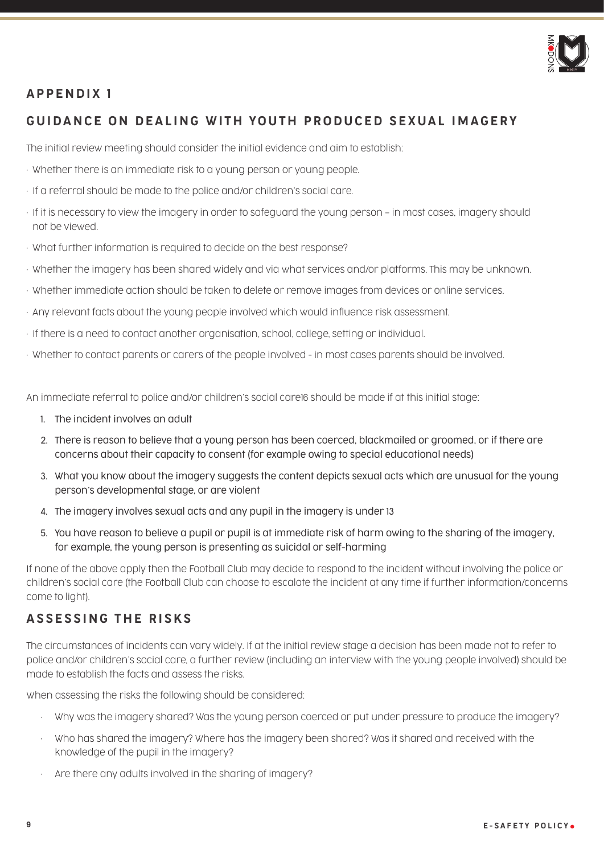

### APPENDIX 1

### GUIDANCE ON DEALING WITH YOUTH PRODUCED SEXUAL IMAGERY

The initial review meeting should consider the initial evidence and aim to establish:

- Whether there is an immediate risk to a young person or young people.
- If a referral should be made to the police and/or children's social care.
- If it is necessary to view the imagery in order to safeguard the young person in most cases, imagery should not be viewed.
- What further information is required to decide on the best response?
- Whether the imagery has been shared widely and via what services and/or platforms. This may be unknown.
- Whether immediate action should be taken to delete or remove images from devices or online services.
- Any relevant facts about the young people involved which would influence risk assessment.
- If there is a need to contact another organisation, school, college, setting or individual.
- Whether to contact parents or carers of the people involved in most cases parents should be involved.

An immediate referral to police and/or children's social care16 should be made if at this initial stage:

- 1. The incident involves an adult
- 2. There is reason to believe that a young person has been coerced, blackmailed or groomed, or if there are concerns about their capacity to consent (for example owing to special educational needs)
- 3. What you know about the imagery suggests the content depicts sexual acts which are unusual for the young person's developmental stage, or are violent
- 4. The imagery involves sexual acts and any pupil in the imagery is under 13
- 5. You have reason to believe a pupil or pupil is at immediate risk of harm owing to the sharing of the imagery, for example, the young person is presenting as suicidal or self-harming

If none of the above apply then the Football Club may decide to respond to the incident without involving the police or children's social care (the Football Club can choose to escalate the incident at any time if further information/concerns come to light).

#### ASSESSING THE RISKS

The circumstances of incidents can vary widely. If at the initial review stage a decision has been made not to refer to police and/or children's social care, a further review (including an interview with the young people involved) should be made to establish the facts and assess the risks.

When assessing the risks the following should be considered:

- Why was the imagery shared? Was the young person coerced or put under pressure to produce the imagery?
- Who has shared the imagery? Where has the imagery been shared? Was it shared and received with the knowledge of the pupil in the imagery?
- Are there any adults involved in the sharing of imagery?